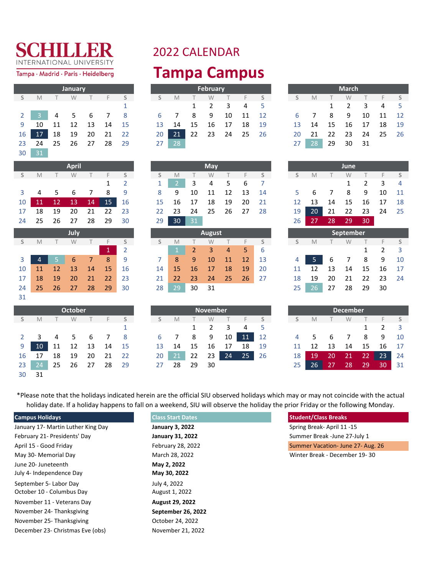Tampa · Madrid · Paris · Heidelberg

|                |    |    | January |    |    |    |
|----------------|----|----|---------|----|----|----|
| S              | M  |    | W       |    | F  | S  |
|                |    |    |         |    |    | 1  |
| $\overline{2}$ | 3  | 4  | 5       | 6  | 7  | 8  |
| 9              | 10 | 11 | 12      | 13 | 14 | 15 |
| 16             | 17 | 18 | 19      | 20 | 21 | 22 |
| 23             | 24 | 25 | 26      | 27 | 28 | 29 |
| 30             | 31 |    |         |    |    |    |

|    |    |    | <b>April</b> |                |              |                |
|----|----|----|--------------|----------------|--------------|----------------|
| S  | M  | Τ  | W            | Τ              | F            | S              |
|    |    |    |              |                | 1            | $\overline{2}$ |
| 3  | 4  | 5  | 6            | 7              | 8            | 9              |
| 10 | 11 | 12 | 13           | 14             | 15           | 16             |
| 17 | 18 | 19 | 20           | 21             | 22           | 23             |
| 24 | 25 | 26 | 27           | 28             | 29           | 30             |
|    |    |    | July         |                |              |                |
| S  | M  | Τ  | W            | T              | F            | S              |
|    |    |    |              |                | $\mathbf{1}$ | $\overline{2}$ |
| 3  | 4  | 5  | 6            | $\overline{7}$ | 8            | 9              |
| 10 | 11 | 12 | 13           | 14             | 15           | 16             |
| 17 | 18 | 19 | 20           | 21             | 22           | 23             |
|    |    |    |              |                |              |                |

|    |    |    | <b>October</b> |      |    |     |    |      |    | <b>November</b> |    |    |    |    |    |    | December.       |    |    |    |
|----|----|----|----------------|------|----|-----|----|------|----|-----------------|----|----|----|----|----|----|-----------------|----|----|----|
|    | M  |    | W              |      |    |     |    | M    |    | W               |    |    |    |    | M  |    | W               |    |    |    |
|    |    |    |                |      |    |     |    |      |    |                 | 3  | 4  |    |    |    |    |                 |    |    |    |
|    | 3  | 4  | 5.             | -6   |    | - 8 | 6  |      | 8  | 9               | 10 | 11 | 12 | 4  | Ы  | 6  |                 | 8  | 9  |    |
| 9  | 10 | 11 | 12             | - 13 | 14 | -15 | 13 | 14   | 15 | 16              | 17 | 18 | 19 |    | 12 | 13 | 14              | 15 | 16 |    |
| 16 | 17 | 18 | 19             | 20   | 21 | -22 | 20 | (21) | 22 | 23              | 24 | 25 | 26 | 18 | 19 | 20 | 21              | 22 | 23 |    |
| 23 | 24 | 25 | 26             | 27   | 28 | 29  | 27 | 28   | 29 | 30              |    |    |    | 25 | 26 | 27 | 28 <sub>1</sub> | 29 | 30 | 31 |
| 30 | 31 |    |                |      |    |     |    |      |    |                 |    |    |    |    |    |    |                 |    |    |    |

31

#### 2022 CALENDAR **Tampa Campus**

|    |                                                                                     |     | January           |  |       |                 |         |        | February |                   |       |       |                 |    |   |         | <b>March</b> |                                           |
|----|-------------------------------------------------------------------------------------|-----|-------------------|--|-------|-----------------|---------|--------|----------|-------------------|-------|-------|-----------------|----|---|---------|--------------|-------------------------------------------|
|    | S M                                                                                 | T W |                   |  | $F$ S |                 | S M     | $\top$ | W        |                   |       | $F$ S | $\mathsf{S}$    |    | M | W.      |              | $F-S$                                     |
|    |                                                                                     |     |                   |  |       |                 |         |        | 1 2      | 3 4 5             |       |       |                 |    |   | 1 2     |              | 4 <sub>5</sub><br>$\overline{\mathbf{3}}$ |
|    | $2 \begin{array}{ c c c c c c } \hline 3 & 4 & 5 & 6 & 7 & 8 \\ \hline \end{array}$ |     |                   |  |       |                 | 6 7 8 9 |        |          |                   | 10 11 | 12    |                 |    |   | 6 7 8 9 |              | 10 11 12                                  |
|    | 9 10 11 12 13 14 15                                                                 |     |                   |  |       |                 | 13 14   | - 15   | 16 17    |                   | - 18  | - 19  | $13 -$          |    |   |         |              | 14  15  16  17  18  19                    |
| 16 |                                                                                     |     | 17 18 19 20 21 22 |  |       | 20 I            |         |        |          | 21 22 23 24 25 26 |       |       |                 |    |   |         |              | 20 21 22 23 24 25 26                      |
|    | 23 24 25 26 27 28 29                                                                |     |                   |  |       | 27 <sub>1</sub> | $28-1$  |        |          |                   |       |       | 27 <sub>1</sub> | 28 |   |         | 29 30 31     |                                           |

|    |    |    | <b>March</b>  |    |    |    |
|----|----|----|---------------|----|----|----|
| S  | M  |    | W             | Т  | F  | S  |
|    |    | 1  | $\mathfrak z$ | 3  | 4  | 5  |
| 6  |    | 8  | ٩             | 10 | 11 | 12 |
| 13 | 14 | 15 | 16            | 17 | 18 | 19 |
| 20 | 21 | 22 | 23            | 24 | 25 | 26 |
| 27 | 28 | 29 | 30            | 31 |    |    |

|                 |                      | <b>April</b>      |  |  |                 |                      |      | <b>May</b> |             |  |                 |        | June         |                            |  |
|-----------------|----------------------|-------------------|--|--|-----------------|----------------------|------|------------|-------------|--|-----------------|--------|--------------|----------------------------|--|
|                 | S M T W T F S        |                   |  |  |                 | S M T W T F S        |      |            |             |  | S               | $M$ T  | <b>W</b>     | T F S                      |  |
|                 |                      |                   |  |  | 1 <sup>1</sup>  | 2 3 4 5 6 7          |      |            |             |  |                 |        | $\mathbf{1}$ | $2 \quad 3 \quad 4$        |  |
|                 | 3 4 5 6 7 8 9        |                   |  |  | 8               |                      | - 10 |            | 11 12 13 14 |  |                 |        |              | 5 6 7 8 9 10 11            |  |
| 10 <sup>1</sup> |                      | 11 12 13 14 15 16 |  |  |                 | 15 16 17             |      |            | 18 19 20 21 |  |                 |        |              | 12  13  14  15  16  17  18 |  |
|                 | 17 18 19 20 21 22 23 |                   |  |  |                 | 22 23 24 25 26 27 28 |      |            |             |  | 19 <sup>1</sup> | $20-1$ |              | 21 22 23 24 25             |  |
|                 | 24 25 26 27 28 29 30 |                   |  |  | 29 <sup>1</sup> | 30                   | 31   |            |             |  | 26 <sub>1</sub> |        | 27 28 29 30  |                            |  |

|                |           |               | <b>July</b> |             |    |    |    |           |    | August          |     |             |    |                |    |    | September |    |     |  |
|----------------|-----------|---------------|-------------|-------------|----|----|----|-----------|----|-----------------|-----|-------------|----|----------------|----|----|-----------|----|-----|--|
| S              | M         |               | W           |             |    |    |    | M         |    | W               |     |             |    |                | M  |    | W         |    |     |  |
|                |           |               |             |             | A  |    |    |           |    | 3               | 4   | $5^{\circ}$ | 6  |                |    |    |           |    |     |  |
| 3 <sup>7</sup> |           |               | 6           | $7^{\circ}$ | 8  | 9  |    | 8         | 9  | 10              | -11 | 12          | 13 | $\overline{4}$ | -5 | -6 |           | 8  | 9   |  |
| 10             | <b>11</b> | <sup>12</sup> | 13          | 14          | 15 | 16 | 14 | <b>15</b> | 16 | 17              | 18  | 19          | 20 |                |    | 13 | 14        | 15 | 16  |  |
| 17             | 18        | 19            | 20          | 21          | 22 | 23 | 21 | 22        | 23 | 24 <sub>l</sub> | 25  | 26          | 27 | 18             | 19 | 20 | 21        | 22 | -23 |  |
| 24             | 25        | 26            | 27          | 28          | 29 | 30 | 28 | 29        | 30 | 31              |     |             |    | 25             | 26 | 27 | 28        | 29 | 30  |  |

|                 |                     |     | <b>October</b> |      |      |                 |    |    |              | November |     |                 |    |    |        |     | <b>December</b> |      |       |                         |
|-----------------|---------------------|-----|----------------|------|------|-----------------|----|----|--------------|----------|-----|-----------------|----|----|--------|-----|-----------------|------|-------|-------------------------|
| S               | M                   |     | W              |      |      |                 |    | M  | $\mathbf{1}$ | W        |     |                 |    |    | M      |     | W               |      |       | S S                     |
|                 |                     |     |                |      |      |                 |    |    | $\mathbf{1}$ |          | 3   | 4               |    |    |        |     |                 |      |       | $\overline{\mathbf{3}}$ |
|                 | $2 \quad 3 \quad 4$ |     | 5 6 7          |      |      | - 8             |    |    | -8           | 9        | 10  | $\sqrt{11}$     | 12 |    | 4 5    | - 6 | 7               | -8   | - 9   | 10                      |
| 9 <sub>1</sub>  | 10                  | 11  | 12             | - 13 | - 14 | - 15            | 13 | 14 | 15           | 16       | 17  | 18              | 19 |    | 12     | 13  | 14              | 15   | 16    | 17                      |
| 16              | 17                  | 18  | 19             | 20   | 21   | $\overline{22}$ | 20 | 21 | 22           | 23 I     | 24' | 25 <sub>1</sub> | 26 | 18 | 19     | -20 | $\sqrt{21}$     | 22   | 23    | 24                      |
| 23 <sup>1</sup> | 24                  | -25 | -26            | 27   | 28   | - 29            | 27 | 28 | 29           | 30       |     |                 |    |    | $26-1$ | -27 | -28             | . 29 | 30 31 |                         |

|    |    |    | June   |    |    |    |
|----|----|----|--------|----|----|----|
| S  | M  | T  | W      | T  | F  | S  |
|    |    |    | 1      | 2  | 3  | 4  |
| 5  | 6  | 7  | 8      | 9  | 10 | 11 |
| 12 | 13 | 14 | 15     | 16 | 17 | 18 |
| 19 | 20 | 21 | 22     | 23 | 24 | 25 |
| 26 | 27 | 28 | 29     | 30 |    |    |
|    |    | ∼  | n<br>n |    |    |    |

|    | September |    |    |    |    |    |  |  |
|----|-----------|----|----|----|----|----|--|--|
| S  | M         |    | W  |    | F  | S  |  |  |
|    |           |    |    | 1  | 2  | 3  |  |  |
| 4  | 5         | 6  |    | 8  | q  | 10 |  |  |
| 11 | 12        | 13 | 14 | 15 | 16 | 17 |  |  |
| 18 | 19        | 20 | 21 | 22 | 23 | 24 |  |  |
| 25 | 26        | 27 | 28 | 29 | 30 |    |  |  |

|               |    |    | <b>December</b> |    |               |    |
|---------------|----|----|-----------------|----|---------------|----|
| $\mathcal{S}$ | M  |    | W               |    | F             | S  |
|               |    |    |                 | 1  | $\mathcal{P}$ | 3  |
| 4             | 5  | 6  | 7               | 8  | ٩             | 10 |
| 11            | 12 | 13 | 14              | 15 | 16            | 17 |
| 18            | 19 | 20 | 21              | 22 | 23            | 24 |
| 25            | 26 | 27 | 28              | 29 | 30            | 31 |

\*Please note that the holidays indicated herein are the official SIU observed holidays which may or may not coincide with the actual holiday date. If a holiday happens to fall on a weekend, SIU will observe the holiday the prior Friday or the following Monday.

| <b>Campus Holidays</b>             | <b>Class Start Dates</b> | <b>Student/Class Breaks</b>     |
|------------------------------------|--------------------------|---------------------------------|
| January 17- Martin Luther King Day | <b>January 3, 2022</b>   | Spring Break-April 11-15        |
| February 21- Presidents' Day       | <b>January 31, 2022</b>  | Summer Break - June 27-July 1   |
| April 15 - Good Friday             | February 28, 2022        | Summer Vacation-June 27-Aug. 26 |
| May 30- Memorial Day               | March 28, 2022           | Winter Break - December 19-30   |
| June 20- Juneteenth                | May 2, 2022              |                                 |
| July 4- Independence Day           | May 30, 2022             |                                 |
| September 5- Labor Day             | July 4, 2022             |                                 |
| October 10 - Columbus Day          | August 1, 2022           |                                 |
| November 11 - Veterans Day         | <b>August 29, 2022</b>   |                                 |
| November 24- Thanksgiving          | September 26, 2022       |                                 |
| November 25-Thanksgiving           | October 24, 2022         |                                 |
| December 23- Christmas Eve (obs)   | November 21, 2022        |                                 |
|                                    |                          |                                 |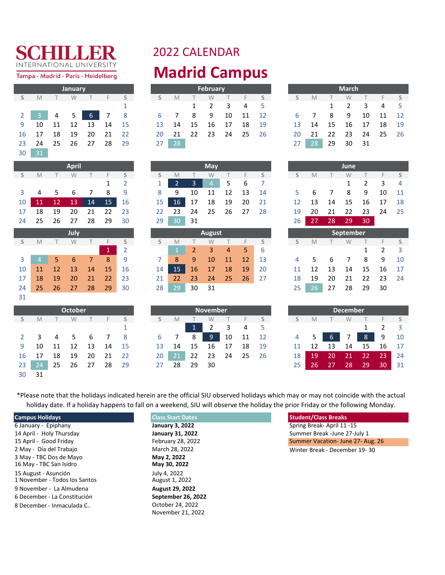Tampa · Madrid · Paris · Heidelberg

|                |    |    | January |    |    |    |
|----------------|----|----|---------|----|----|----|
| S              | M  |    | W       | Т  | F  | S  |
|                |    |    |         |    |    | 1  |
| $\overline{2}$ | 3  | 4  | 5       | 6  | 7  | 8  |
| 9              | 10 | 11 | 12      | 13 | 14 | 15 |
| 16             | 17 | 18 | 19      | 20 | 21 | 22 |
| 23             | 24 | 25 | 26      | 27 | 28 | 29 |
| 30             | 31 |    |         |    |    |    |

|    |                |    | <b>April</b> |    |              |                |
|----|----------------|----|--------------|----|--------------|----------------|
| S  | M              | Τ  | W            | Τ  | F            | S              |
|    |                |    |              |    | 1            | $\overline{2}$ |
| 3  | 4              | 5  | 6            | 7  | 8            | 9              |
| 10 | 11             | 12 | 13           | 14 | 15           | 16             |
| 17 | 18             | 19 | 20           | 21 | 22           | 23             |
| 24 | 25             | 26 | 27           | 28 | 29           | 30             |
|    |                |    | July         |    |              |                |
| S  | M              | Τ  | W            | Τ  | F            | S              |
|    |                |    |              |    | $\mathbf{1}$ | $\overline{2}$ |
| 3  | $\overline{4}$ | 5  | 6            | 7  | 8            | 9              |
| 10 | 11             | 12 | 13           | 14 | 15           | 16             |
| 17 | 18             | 19 | 20           | 21 | 22           | 23             |
| 24 | つら             | ንና | 27           | ንՋ | 29           | ว∩             |

|    |    |    | <b>October</b> |    |    |     |    |    |              | <b>November</b> |    |    |    |    |    |    |                 | <b>December</b> |    |
|----|----|----|----------------|----|----|-----|----|----|--------------|-----------------|----|----|----|----|----|----|-----------------|-----------------|----|
|    | M  |    | W              |    |    |     | S  | M  |              | W               |    |    |    |    | M  |    | W               |                 |    |
|    |    |    |                |    |    |     |    |    | $\mathbf{1}$ | 2               | 3  | 4  | 5  |    |    |    |                 |                 |    |
|    | 3  | 4  | 5.             | 6  |    | 8   | 6  |    | 8            | 9               | 10 | 11 | 12 | 4  | 5. | 6  |                 | 8               | 9  |
| 9  | 10 | 11 | 12             | 13 | 14 | -15 | 13 | 14 | 15           | 16              | 17 | 18 | 19 |    | 12 | 13 | 14              | 15              | 16 |
| 16 | 17 | 18 | 19             | 20 | 21 | -22 | 20 | 21 | 22           | 23              | 24 | 25 | 26 | 18 | 19 | 20 | 21              | 22              | 23 |
| 23 | 24 | 25 | 26             | 27 | 28 | 29  | 27 | 28 | 29           | 30              |    |    |    | 25 | 26 | 27 | 28 <sub>l</sub> | 29'             | 30 |
| 30 | 31 |    |                |    |    |     |    |    |              |                 |    |    |    |    |    |    |                 |                 |    |

31

#### 2022 CALENDAR **Madrid Campus**

|   |       |      | <b>January</b> |                   |      |    |    |            |              | February       |                         |      |      |           |                |      | <b>March</b> |                         |
|---|-------|------|----------------|-------------------|------|----|----|------------|--------------|----------------|-------------------------|------|------|-----------|----------------|------|--------------|-------------------------|
| S | M     |      | W              |                   |      |    | S. | M          | $\mathbf{1}$ | W              |                         | F.   | S    |           | M              |      | W            |                         |
|   |       |      |                |                   |      |    |    |            |              | $\overline{2}$ | $\overline{\mathbf{3}}$ | 4    | - 5  |           |                | 1    | -2           | $\overline{\mathbf{3}}$ |
|   |       |      | $2$ 3 4 5 7    | $6 \mid 7 \mid 8$ |      |    | 6  | $7\degree$ | 8            | -9             | 10                      | - 11 | 12   | 6         | $\overline{7}$ | - 8  | 9            | 10<br>11                |
| 9 | 10    | - 11 | 12             | -13               | - 14 | 15 |    | 13 14      | - 15         | - 16           | 17                      | 18   | - 19 | 13        | 14             | - 15 | -16          | 17                      |
|   | 16 17 | 18   | 19             | 20                | 21   | 22 |    | 20 21      | -22          | - 23           | - 24                    | - 25 | - 26 | <b>20</b> | -21            | -22  | -23          | - 24<br>25              |
|   | 23 24 | 25   | 26             | -27               | -28  | 29 | 27 | 28         |              |                |                         |      |      | 27        | 28             | 29   | 30           | 31                      |

|   |                 |                | January |      |      |      |           |                |           | February       |    |       |      |    |                |              | <b>March</b>  |    |       |                |
|---|-----------------|----------------|---------|------|------|------|-----------|----------------|-----------|----------------|----|-------|------|----|----------------|--------------|---------------|----|-------|----------------|
| S | M               |                | W       |      |      | S    | S.        | M              |           | W              |    |       |      |    | M              | $\mathbf{1}$ | W             |    | F.    | S              |
|   |                 |                |         |      |      |      |           |                | $1 \quad$ | $\overline{2}$ | 3  | -4    | $-5$ |    |                | 1            | $\mathcal{L}$ | 3  | 4     | 5 <sup>5</sup> |
|   | $2 \mid 3 \mid$ | $\overline{4}$ | 5 6 7 8 |      |      |      | 6         | $\overline{7}$ | -8        | - 9            | 10 | 11 12 |      | 6  | $\overline{7}$ | -8           | - 9           | 10 | 11 12 |                |
| 9 | 10              | 11             | 12      | - 13 | - 14 | 15   | 13        | 14             | 15        | - 16           | 17 | 18    | 19   | 13 | 14             | - 15         | 16            | 17 | 18 19 |                |
|   | 16 17           | 18             | - 19    | 20   | - 21 | 22   | <b>20</b> | 21             |           | 22 23          | 24 | 25 26 |      |    | 20 21          | - 22         | -23           | 24 | 25 26 |                |
|   | 23 24           | - 25           | -26     | 27   | 28   | - 29 | 27        | 28             |           |                |    |       |      | 27 | -28            | 29           | 30            | 31 |       |                |

|                      | <b>April</b> |  |               |                 |                      |                   | <b>May</b>  |  |  |    |       | June                 |                             |  |
|----------------------|--------------|--|---------------|-----------------|----------------------|-------------------|-------------|--|--|----|-------|----------------------|-----------------------------|--|
|                      |              |  | S M T W T F S |                 | S M T W T F S        |                   |             |  |  | S  | $M$ T | <b>W</b>             | T F S                       |  |
|                      |              |  | $1 \quad 2$   |                 | $1 \vert$            | 2 3 4 5 6 7       |             |  |  |    |       |                      | $1 \quad 2 \quad 3 \quad 4$ |  |
| 3 4 5 6 7 8 9        |              |  |               |                 | 89                   | - 10              | 11 12 13 14 |  |  |    |       | 5 6 7 8 9 10 11      |                             |  |
| 10 11 12 13 14 15 16 |              |  |               | 15 <sub>1</sub> |                      | 16 17 18 19 20 21 |             |  |  |    |       | 12 13 14 15 16 17 18 |                             |  |
| 17 18 19 20 21 22 23 |              |  |               |                 | 22 23 24 25 26 27 28 |                   |             |  |  |    |       | 19 20 21 22 23 24 25 |                             |  |
| 24 25 26 27 28 29 30 |              |  |               |                 | 29 30                | $\blacksquare$ 31 |             |  |  | 26 |       | 27 28 29 30          |                             |  |

|                |                 |     | July          |                |           |    |    |    |              | August, |                |           |             |    |    |    |    | <b>September</b> |    |
|----------------|-----------------|-----|---------------|----------------|-----------|----|----|----|--------------|---------|----------------|-----------|-------------|----|----|----|----|------------------|----|
| S.             | M               |     | W             |                |           |    |    | M  |              | W       |                |           |             |    | M  |    | W  |                  |    |
|                |                 |     |               |                | 11        |    |    |    | $\mathbf{2}$ | 3       | $\overline{4}$ | 5.        | $\mathbf b$ |    |    |    |    |                  |    |
| 3 <sup>1</sup> |                 |     | -6            | 7 <sup>7</sup> | 8         | 9  |    | -8 | 9            | 10      | 11             | <b>12</b> | 13          | 4  | 5. | 6  |    | 8                | 9  |
| 10             | 11              | -12 | <sup>13</sup> | 14             | <b>15</b> | 16 | 14 | 15 | 16           | 17      | <b>18</b>      | 19        | 20          | 11 | 12 | 13 | 14 | 15               | 16 |
| 17             | 18              | 19  | 20            | 21             | 22        | 23 | 21 | 22 | 23           | 24      | -25            | 26        | 27          | 18 | 19 | 20 | 21 | 22               | 23 |
| 24             | 25 <sub>l</sub> | 26  | 27            | 28             | 29        | 30 | 28 | 29 | 30           | 31      |                |           |             | 25 | 26 | 27 | 28 | 29               | 30 |

|    |             |    | October |    |     |      |                 |     |     | <b>November</b> |     |       |      |    |           |      | <b>December</b> |                |  |
|----|-------------|----|---------|----|-----|------|-----------------|-----|-----|-----------------|-----|-------|------|----|-----------|------|-----------------|----------------|--|
| S  | M           |    | W       |    |     |      | S.              | - M |     | W               |     |       |      |    | M         |      | W               |                |  |
|    |             |    |         |    |     |      |                 |     |     |                 | 3   | 4     |      |    |           |      |                 |                |  |
|    | 2 3 4 5 6 7 |    |         |    |     | - 8  | 6               |     | 8   | 9               | 10  | 11    | 12   |    | 4 5 1     | $-6$ | $\overline{7}$  | 8 <sup>1</sup> |  |
| 9  | 10          | 11 | -12     | 13 | -14 | - 15 | 13              | 14  | -15 | 16              | -17 | 18    | - 19 | 11 | 12        | -13  | 14              | 15             |  |
| 16 | 17          | 18 | 19      | 20 | 21  | 22   | 20 <sub>1</sub> | 21  | 22  | - 23            | 24  | 25 26 |      | 18 | <b>19</b> | 20   | -21             | 22             |  |
| 23 | -24         | 25 | 26      | 27 | 28  | -29  | 27              | 28  | 29  | 30              |     |       |      | 25 | 26        |      | 28              | 29             |  |

|    |    |    | June |               |    |    |
|----|----|----|------|---------------|----|----|
| S  | M  |    | W    |               | F  | S  |
|    |    |    | 1    | $\mathcal{P}$ | 3  | 4  |
| 5  | 6  | 7  | 8    | 9             | 10 | 11 |
| 12 | 13 | 14 | 15   | 16            | 17 | 18 |
| 19 | 20 | 21 | 22   | 23            | 24 | 25 |
| 26 | 27 | 28 | 29   | 30            |    |    |

|    |    |    | <b>September</b> |    |    |    |
|----|----|----|------------------|----|----|----|
| S  | M  |    | W                |    | ⊏  | S  |
|    |    |    |                  | 1  | 2  | 3  |
| 4  | 5  | 6  | 7                | 8  | q  | 10 |
| 11 | 12 | 13 | 14               | 15 | 16 | 17 |
| 18 | 19 | 20 | 21               | 22 | 23 | 24 |
| 25 | 26 | 27 | 28               | 29 | 30 |    |

|    |    |    | December |    |               |    |
|----|----|----|----------|----|---------------|----|
| S  | M  |    | W        |    | F             | S  |
|    |    |    |          | 1  | $\mathcal{P}$ | 3  |
| 4  | 5  | 6  |          | 8  | 9             | 10 |
| 11 | 12 | 13 | 14       | 15 | 16            | 17 |
| 18 | 19 | 20 | 21       | 22 | 23            | 24 |
| 25 | 26 | 27 | 28       | 29 | 30            | 31 |

\*Please note that the holidays indicated herein are the official SIU observed holidays which may or may not coincide with the actual holiday date. If a holiday happens to fall on a weekend, SIU will observe the holiday the prior Friday or the following Monday.

| <b>Campus Holidays</b>        | <b>Class Start Dates</b> | <b>Student/Class Breaks</b>       |
|-------------------------------|--------------------------|-----------------------------------|
| 6 January - Epiphany          | January 3, 2022          | Spring Break-April 11-15          |
| 14 April - Holy Thursday      | <b>January 31, 2022</b>  | Summer Break - June 27-July 1     |
| 15 April - Good Friday        | February 28, 2022        | Summer Vacation- June 27- Aug. 26 |
| 2 May - Día del Trabajo       | March 28, 2022           | Winter Break - December 19-30     |
| 3 May - TBC Dos de Mayo       | May 2, 2022              |                                   |
| 16 May - TBC San Isidro       | May 30, 2022             |                                   |
| 15 August - Asunción          | July 4, 2022             |                                   |
| 1 November - Todos los Santos | August 1, 2022           |                                   |
| 9 November - La Almudena      | August 29, 2022          |                                   |
| 6 December - La Constitución  | September 26, 2022       |                                   |
| 8 December - Inmaculada C     | October 24, 2022         |                                   |
|                               | November 21, 2022        |                                   |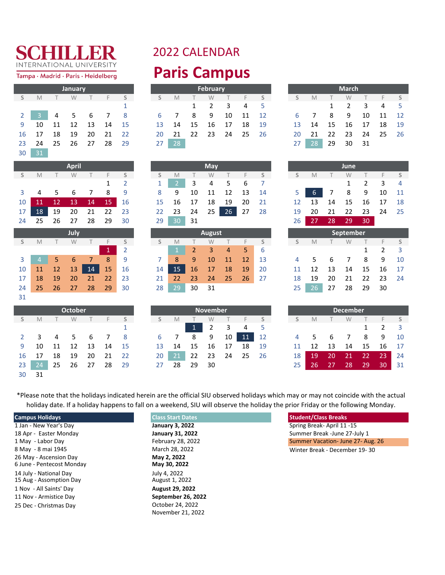Tampa · Madrid · Paris · Heidelberg

|                |    |    | January |    |    |    |
|----------------|----|----|---------|----|----|----|
| S              | M  | Τ  | W       | Τ  | F  | S  |
|                |    |    |         |    |    | 1  |
| $\overline{2}$ | 3  | 4  | .5      | 6  | 7  | 8  |
| 9              | 10 | 11 | 12      | 13 | 14 | 15 |
| 16             | 17 | 18 | 19      | 20 | 21 | 22 |
| 23             | 24 | 25 | 26      | 27 | 28 | 29 |
| 30             | 31 |    |         |    |    |    |

|    |    |    | <b>April</b> |    |              |                |
|----|----|----|--------------|----|--------------|----------------|
| S  | M  | T  | W            | T  | F            | S              |
|    |    |    |              |    | 1            | 2              |
| 3  | 4  | 5  | 6            | 7  | 8            | 9              |
| 10 | 11 | 12 | 13           | 14 | 15           | 16             |
| 17 | 18 | 19 | 20           | 21 | 22           | 23             |
| 24 | 25 | 26 | 27           | 28 | 29           | 30             |
|    |    |    | July         |    |              |                |
| S  | M  | T  | W            | T  | F            | S              |
|    |    |    |              |    | $\mathbf{1}$ | $\overline{2}$ |
| 3  | 4  | 5  | 6            | 7  | 8            | 9              |
| 10 | 11 | 12 | 13           | 14 | 15           | 16             |
| 17 | 18 | 19 | 20           | 21 | 22           | 23             |

|                |                 |    | October |    |    |             |
|----------------|-----------------|----|---------|----|----|-------------|
| S              | M               | т  | W       | Т  | F  | $\varsigma$ |
|                |                 |    |         |    |    | 1           |
| $\overline{2}$ | 3               | 4  | 5       | 6  | 7  | 8           |
| 9              | 10              | 11 | 12      | 13 | 14 | 15          |
| 16             | 17              | 18 | 19      | 20 | 21 | 22          |
| 23             | $2\overline{4}$ | 25 | 26      | 27 | 28 | 29          |
| 30             | 31              |    |         |    |    |             |

31

#### 2022 CALENDAR **Paris Campus**

|    |                   |    | <b>January</b> |      |          |          |    |       |               | February                    |          |          |      |
|----|-------------------|----|----------------|------|----------|----------|----|-------|---------------|-----------------------------|----------|----------|------|
| S. | M                 |    | W              |      | $\vdash$ | $\sim$ S | S. | M     | $\sim$ $\sim$ | W                           |          | $\vdash$ | S    |
|    |                   |    |                |      |          |          |    |       |               | $1 \quad 2 \quad 3 \quad 4$ |          |          | - 5  |
|    | $2 \quad 3 \quad$ |    | 4 5 6 7 8      |      |          |          |    | 6 7   | 8             | 9                           | 10       | - 11     | 12   |
|    | 9 10 11 12        |    |                | - 13 | 14 15    |          |    | 13 14 | - 15          | - 16                        | 17       | - 18     | - 19 |
|    | 16 17             | 18 | - 19           | 20   | 21 22    |          |    | 20 21 | - 22          |                             | 23 24 25 |          | 26   |
|    | 23 24 25 26       |    |                | 27   | -28      | 29       | 27 | 28    |               |                             |          |          |      |

|       |       |    | January |     |      |      |    |                |      | February |     |       |      |     |                |              | <b>March</b> |      |       |                 |
|-------|-------|----|---------|-----|------|------|----|----------------|------|----------|-----|-------|------|-----|----------------|--------------|--------------|------|-------|-----------------|
| S     | M     |    | W       |     |      | - S  | S. | M              |      | W        |     |       |      | S.  | M              |              | W            |      |       |                 |
|       |       |    |         |     |      |      |    |                | 1    | 2        | 3   | 4     | - 5  |     |                | $\mathbf{1}$ | 2            | 3    | 4     |                 |
| $2-1$ |       | 4  | 5 6 7   |     |      | - 8  | 6  | $\overline{7}$ | -8   | -9       | 10  | 11 12 |      | 6   | $\overline{7}$ | 8            | -9           | 10   | 11    | $\overline{12}$ |
| 9     | 10    | 11 | 12      | 13  | -14  | - 15 | 13 | 14             | - 15 | -16      | 17  | 18    | - 19 | 13  | 14             | - 15         | 16           | - 17 | 18    | - 19            |
|       | 16 17 | 18 | -19     | -20 | - 21 | - 22 | 20 | 21             | 22   | 23       | -24 | 25    | 26   | 20. | -21            | -22          | - 23         | 24   | 25 26 |                 |
| 23    | -24   | 25 | 26      | 27  | 28   | - 29 | 27 | 28             |      |          |     |       |      | 27  | -28            | 29           | 30           | 31   |       |                 |

|                 |                      | <b>April</b>      |  |  |
|-----------------|----------------------|-------------------|--|--|
|                 | S M T W T F S        |                   |  |  |
|                 |                      |                   |  |  |
|                 | 3 4 5 6 7 8 9        |                   |  |  |
|                 | 10 11 12 13 14 15 16 |                   |  |  |
| 17 <sup>1</sup> |                      | 18 19 20 21 22 23 |  |  |
|                 | 24 25 26 27 28 29 30 |                   |  |  |

|              |    |              | July |                |    |    |    |     |    | August |           |    |             |    |    |    |    |   | <b>September</b> |    |
|--------------|----|--------------|------|----------------|----|----|----|-----|----|--------|-----------|----|-------------|----|----|----|----|---|------------------|----|
| S.           | M  |              | W    |                |    |    |    | M   |    | W      |           |    |             |    | M  |    |    | W |                  |    |
|              |    |              |      |                | ۱1 |    |    |     |    |        | 4         | 5. | $\mathbf b$ |    |    |    |    |   |                  |    |
| $\mathbf{3}$ |    |              | 6    | 7 <sup>1</sup> | 8  | 9  |    | 8   | 9  | 10     | 11        | 12 | 13          | 4  | -5 | 6  |    |   | 8                | 9  |
| 10           | 11 | $\sqrt{127}$ | 13   | 14             | 15 | 16 | 14 | 15  | 16 | 17     | <b>18</b> | 19 | 20          |    | 12 | 13 | 14 |   | 15               | 16 |
| 17           | 18 | 19           | 20   | 21             | 22 | 23 | 21 | 22  | 23 | 24     | 25        | 26 | 27          | 18 | 19 | 20 | 21 |   | 22               | 23 |
| 24           | 25 | 26           | 27   | 28             | 29 | 30 | 28 | 29' | 30 | 31     |           |    |             | 25 | 26 | 27 | 28 |   | 29               | 30 |

|    |               |      | <b>October</b> |      |     |    |                 |                |              | <b>November</b> |      |       |      |                 |       |                 | <b>December</b> |      |                 |
|----|---------------|------|----------------|------|-----|----|-----------------|----------------|--------------|-----------------|------|-------|------|-----------------|-------|-----------------|-----------------|------|-----------------|
| S. | M             |      | W              |      |     |    | S.              | <b>M</b>       |              | W               |      |       |      |                 | M     |                 | W               |      |                 |
|    |               |      |                |      |     |    |                 |                | $\mathbf{1}$ | 2               | 3    | 4     | - 5  |                 |       |                 |                 |      |                 |
|    | 2 3 4 5 6 7 8 |      |                |      |     |    | -6              | $\overline{7}$ | 89           |                 | 10   | 11    | 12   |                 | 4 5 6 |                 | $\overline{7}$  | - 8  | 9 10            |
|    | 9 10          | 11   | 12             | - 13 | 14  | 15 | $13 -$          | 14             | - 15         | -16             | - 17 | 18    | - 19 |                 | 11 12 | - 13            | 14              | - 15 | 16 17           |
|    | 16 17         | - 18 | -19            | 20   | -21 | 22 | 20 <sub>1</sub> | 21             |              | 22 23 24        |      | 25 26 |      | 18 <sub>h</sub> | -19   | -20             | $\sqrt{21}$     | 22   | 23              |
| 23 | 24            | - 25 | 26             | 27   | -28 | 29 | 27              | 28             | 29           | - 30            |      |       |      | 25              | -26   | $\overline{27}$ | -28             | -29  | 30 <sup>1</sup> |

| S  | M  | Т  | W                | $\top$ | F              | S  |
|----|----|----|------------------|--------|----------------|----|
|    |    |    | 1                | 2      | 3              | 4  |
| 5  | 6  | 7  | 8                | 9      | 10             | 11 |
| 12 | 13 | 14 | 15               | 16     | 17             | 18 |
| 19 | 20 | 21 | 22               | 23     | 24             | 25 |
| 26 | 27 | 28 | 29               | 30     |                |    |
|    |    |    | <b>September</b> |        |                |    |
| S  | M  | Т  | W                | Τ      | F              | S  |
|    |    |    |                  | 1      | $\overline{2}$ | 3  |
| 4  | 5  | 6  | 7                | 8      | 9              | 10 |
| 11 | 1つ | 1つ | 1 <sub>1</sub>   | 1 F    | 1 <sup>C</sup> | 17 |

|    |    |    | <b>December</b> |    |               |    |
|----|----|----|-----------------|----|---------------|----|
| S  | M  |    | W               |    | F             | S  |
|    |    |    |                 | 1  | $\mathcal{P}$ | 3  |
| 4  | 5  | 6  | 7               | 8  | 9             | 10 |
| 11 | 12 | 13 | 14              | 15 | 16            | 17 |
| 18 | 19 | 20 | 21              | 22 | 23            | 24 |
| 25 | 26 | 27 | 28              | 29 | 30            | 31 |

\*Please note that the holidays indicated herein are the official SIU observed holidays which may or may not coincide with the actual holiday date. If a holiday happens to fall on a weekend, SIU will observe the holiday the prior Friday or the following Monday.

| <b>Campus Holidays</b>                              | <b>Class Start Dates</b>       | <b>Student/Class Breaks</b>       |
|-----------------------------------------------------|--------------------------------|-----------------------------------|
| 1 Jan - New Year's Day                              | January 3, 2022                | Spring Break-April 11-15          |
| 18 Apr - Easter Monday                              | <b>January 31, 2022</b>        | Summer Break - June 27-July 1     |
| 1 May - Labor Day                                   | February 28, 2022              | Summer Vacation- June 27- Aug. 26 |
| 8 May - 8 mai 1945                                  | March 28, 2022                 | Winter Break - December 19-30     |
| 26 May - Ascension Day<br>6 June - Pentecost Monday | May 2, 2022<br>May 30, 2022    |                                   |
| 14 July - National Day<br>15 Aug - Assomption Day   | July 4, 2022<br>August 1, 2022 |                                   |
| 1 Nov - All Saints' Day                             | <b>August 29, 2022</b>         |                                   |
| 11 Nov - Armistice Day                              | September 26, 2022             |                                   |
| 25 Dec - Christmas Day                              | October 24, 2022               |                                   |
|                                                     | November 21, 2022              |                                   |